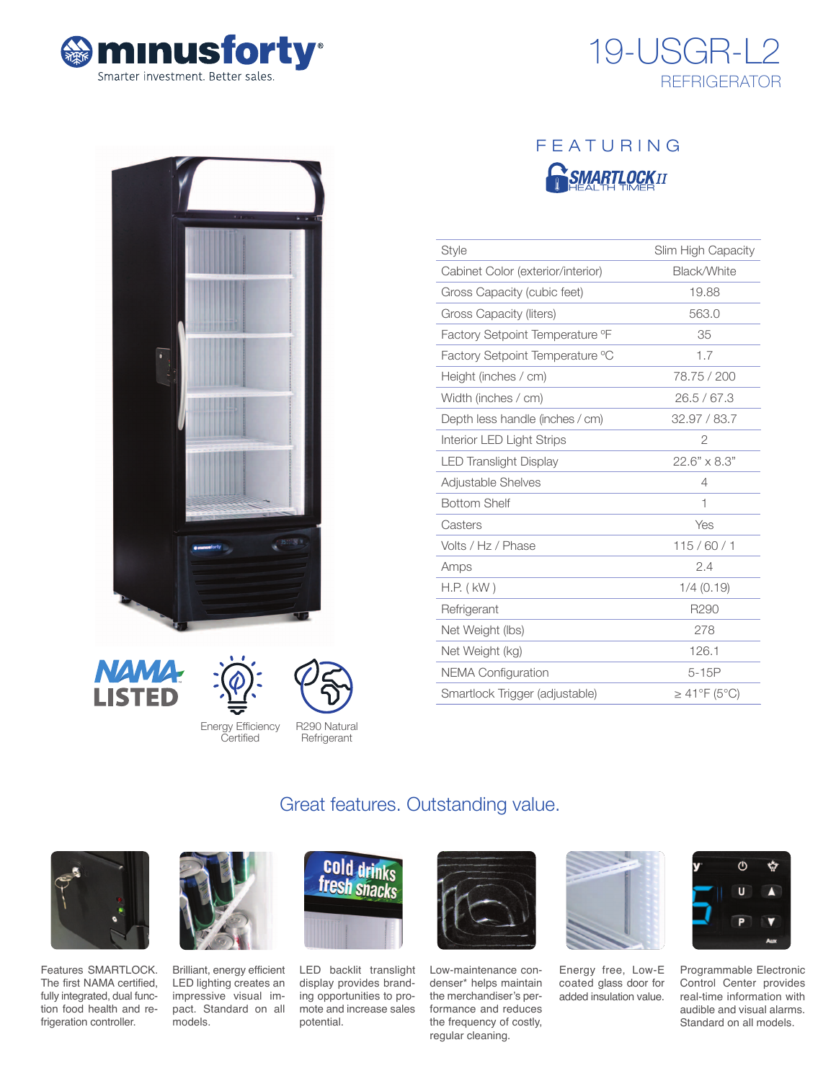





# FEATURING **RSMARTLOCKIT**

| <b>Style</b>                      | Slim High Capacity  |
|-----------------------------------|---------------------|
| Cabinet Color (exterior/interior) | Black/White         |
| Gross Capacity (cubic feet)       | 19.88               |
| Gross Capacity (liters)           | 563.0               |
| Factory Setpoint Temperature °F   | 35                  |
| Factory Setpoint Temperature °C   | 1.7                 |
| Height (inches / cm)              | 78.75 / 200         |
| Width (inches / cm)               | 26.5/67.3           |
| Depth less handle (inches / cm)   | 32.97 / 83.7        |
| Interior LED Light Strips         | $\overline{2}$      |
| <b>LED Translight Display</b>     | $22.6" \times 8.3"$ |
| Adjustable Shelves                | 4                   |
| <b>Bottom Shelf</b>               | 1                   |
| Casters                           | Yes                 |
| Volts / Hz / Phase                | 115/60/1            |
| Amps                              | 2.4                 |
| $H.P.$ ( $kW$ )                   | $1/4$ (0.19)        |
| Refrigerant                       | R290                |
| Net Weight (lbs)                  | 278                 |
| Net Weight (kg)                   | 126.1               |
| <b>NEMA Configuration</b>         | $5-15P$             |
| Smartlock Trigger (adjustable)    | $\geq$ 41°F (5°C)   |







**Refrigerant** 

# Great features. Outstanding value.



Features SMARTLOCK. The first NAMA certified, fully integrated, dual function food health and refrigeration controller.



Brilliant, energy efficient LED lighting creates an impressive visual impact. Standard on all models.



LED backlit translight display provides branding opportunities to promote and increase sales potential.



Low-maintenance condenser\* helps maintain the merchandiser's performance and reduces the frequency of costly, regular cleaning.



Energy free, Low-E coated glass door for added insulation value.



Programmable Electronic Control Center provides real-time information with audible and visual alarms. Standard on all models.